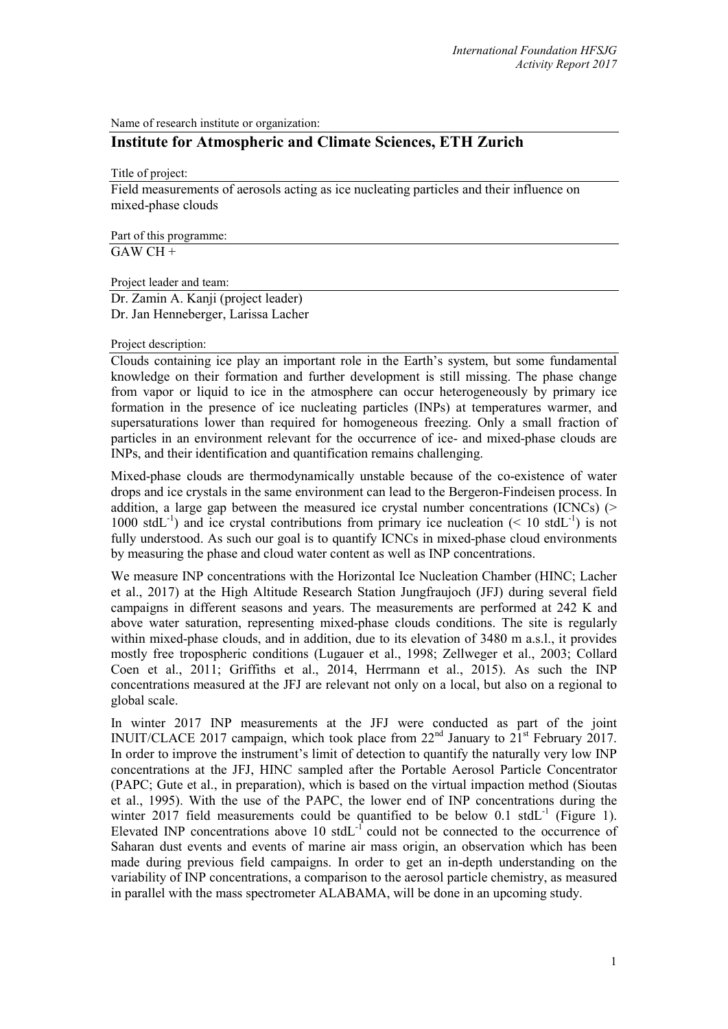Name of research institute or organization:

# **Institute for Atmospheric and Climate Sciences, ETH Zurich**

Title of project:

Field measurements of aerosols acting as ice nucleating particles and their influence on mixed-phase clouds

Part of this programme:  $\overline{GAWCH+}$ 

Project leader and team:

Dr. Zamin A. Kanji (project leader) Dr. Jan Henneberger, Larissa Lacher

### Project description:

Clouds containing ice play an important role in the Earth's system, but some fundamental knowledge on their formation and further development is still missing. The phase change from vapor or liquid to ice in the atmosphere can occur heterogeneously by primary ice formation in the presence of ice nucleating particles (INPs) at temperatures warmer, and supersaturations lower than required for homogeneous freezing. Only a small fraction of particles in an environment relevant for the occurrence of ice- and mixed-phase clouds are INPs, and their identification and quantification remains challenging.

Mixed-phase clouds are thermodynamically unstable because of the co-existence of water drops and ice crystals in the same environment can lead to the Bergeron-Findeisen process. In addition, a large gap between the measured ice crystal number concentrations (ICNCs)  $($ 1000 stdL<sup>-1</sup>) and ice crystal contributions from primary ice nucleation (< 10 stdL<sup>-1</sup>) is not fully understood. As such our goal is to quantify ICNCs in mixed-phase cloud environments by measuring the phase and cloud water content as well as INP concentrations.

We measure INP concentrations with the Horizontal Ice Nucleation Chamber (HINC; Lacher et al., 2017) at the High Altitude Research Station Jungfraujoch (JFJ) during several field campaigns in different seasons and years. The measurements are performed at 242 K and above water saturation, representing mixed-phase clouds conditions. The site is regularly within mixed-phase clouds, and in addition, due to its elevation of 3480 m a.s.l., it provides mostly free tropospheric conditions (Lugauer et al., 1998; Zellweger et al., 2003; Collard Coen et al., 2011; Griffiths et al., 2014, Herrmann et al., 2015). As such the INP concentrations measured at the JFJ are relevant not only on a local, but also on a regional to global scale.

In winter 2017 INP measurements at the JFJ were conducted as part of the joint INUIT/CLACE 2017 campaign, which took place from  $22<sup>nd</sup>$  January to  $21<sup>st</sup>$  February 2017. In order to improve the instrument's limit of detection to quantify the naturally very low INP concentrations at the JFJ, HINC sampled after the Portable Aerosol Particle Concentrator (PAPC; Gute et al., in preparation), which is based on the virtual impaction method (Sioutas et al., 1995). With the use of the PAPC, the lower end of INP concentrations during the winter 2017 field measurements could be quantified to be below  $0.1 \text{ stdL}^{-1}$  (Figure 1). Elevated INP concentrations above 10 stdL<sup>-1</sup> could not be connected to the occurrence of Saharan dust events and events of marine air mass origin, an observation which has been made during previous field campaigns. In order to get an in-depth understanding on the variability of INP concentrations, a comparison to the aerosol particle chemistry, as measured in parallel with the mass spectrometer ALABAMA, will be done in an upcoming study.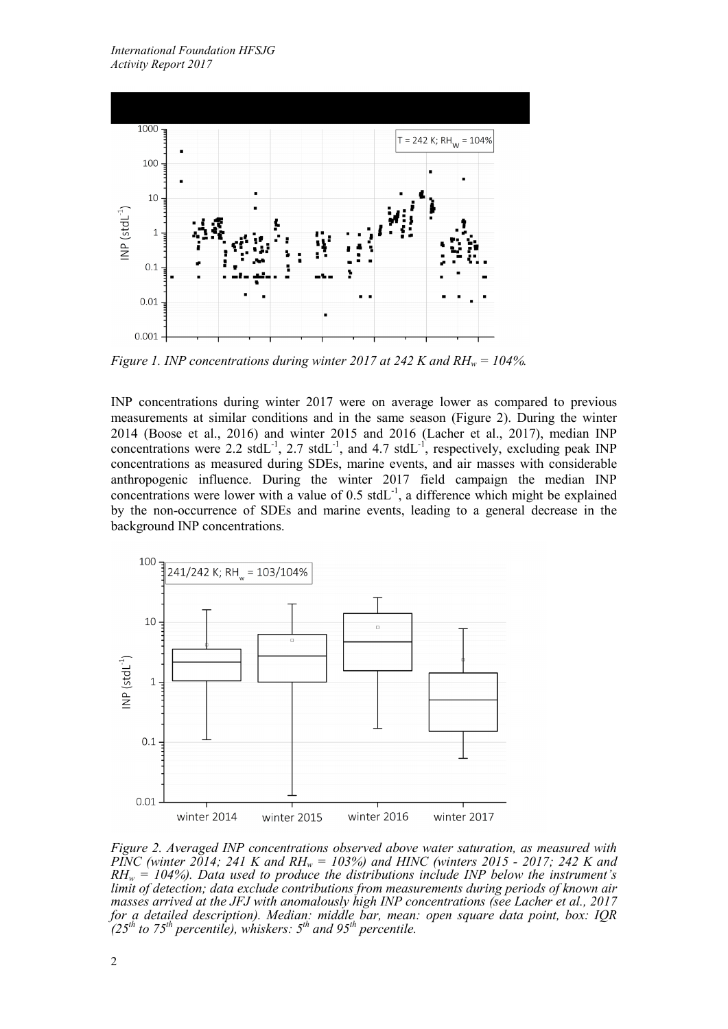

*Figure 1. INP concentrations during winter 2017 at 242 K and RH<sub>w</sub> = 104%.* 

INP concentrations during winter 2017 were on average lower as compared to previous measurements at similar conditions and in the same season (Figure 2). During the winter 2014 (Boose et al., 2016) and winter 2015 and 2016 (Lacher et al., 2017), median INP concentrations were 2.2 stdL<sup>-1</sup>, 2.7 stdL<sup>-1</sup>, and 4.7 stdL<sup>-1</sup>, respectively, excluding peak INP concentrations as measured during SDEs, marine events, and air masses with considerable anthropogenic influence. During the winter 2017 field campaign the median INP concentrations were lower with a value of  $0.5$  stdL<sup>-1</sup>, a difference which might be explained by the non-occurrence of SDEs and marine events, leading to a general decrease in the background INP concentrations.



*Figure 2. Averaged INP concentrations observed above water saturation, as measured with PINC (winter 2014; 241 K and RH<sub>w</sub> = 103%) and HINC (winters 2015 - 2017; 242 K and*  $RH_w = 104\%$ ). Data used to produce the distributions include INP below the instrument's *limit of detection; data exclude contributions from measurements during periods of known air masses arrived at the JFJ with anomalously high INP concentrations (see Lacher et al., 2017 for a detailed description). Median: middle bar, mean: open square data point, box: IQR*  $\int (25^{th}$  to 75<sup>th</sup> percentile), whiskers: 5<sup>th</sup> and 95<sup>th</sup> percentile.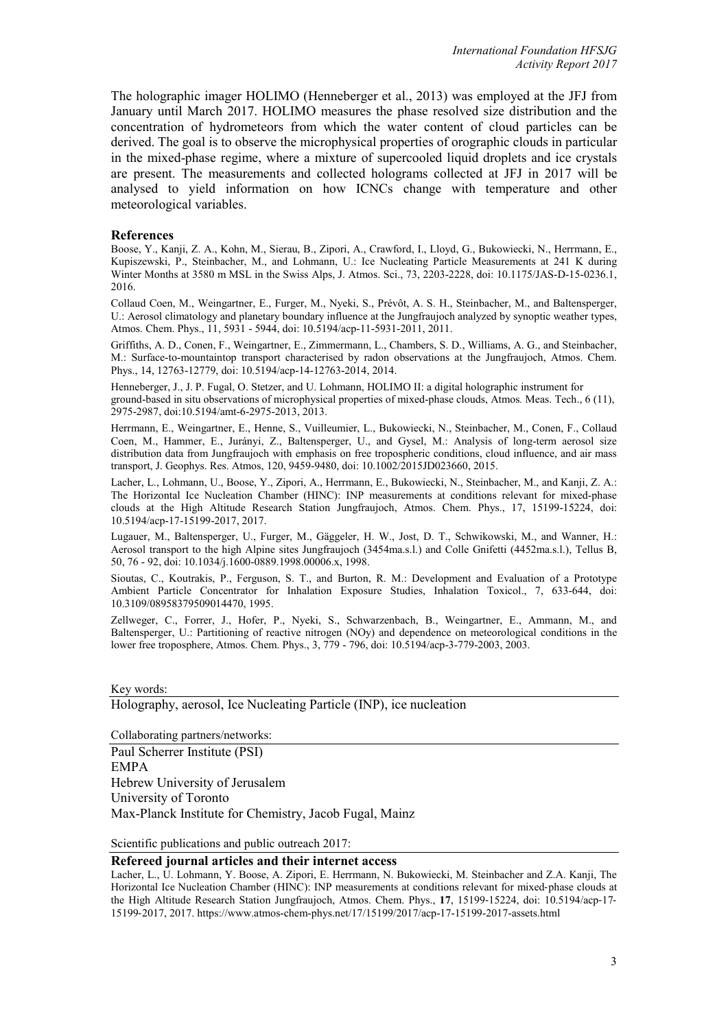The holographic imager HOLIMO (Henneberger et al., 2013) was employed at the JFJ from January until March 2017. HOLIMO measures the phase resolved size distribution and the concentration of hydrometeors from which the water content of cloud particles can be derived. The goal is to observe the microphysical properties of orographic clouds in particular in the mixed-phase regime, where a mixture of supercooled liquid droplets and ice crystals are present. The measurements and collected holograms collected at JFJ in 2017 will be analysed to yield information on how ICNCs change with temperature and other meteorological variables.

#### **References**

Boose, Y., Kanji, Z. A., Kohn, M., Sierau, B., Zipori, A., Crawford, I., Lloyd, G., Bukowiecki, N., Herrmann, E., Kupiszewski, P., Steinbacher, M., and Lohmann, U.: Ice Nucleating Particle Measurements at 241 K during Winter Months at 3580 m MSL in the Swiss Alps, J. Atmos. Sci., 73, 2203-2228, doi: 10.1175/JAS-D-15-0236.1, 2016.

Collaud Coen, M., Weingartner, E., Furger, M., Nyeki, S., Prévôt, A. S. H., Steinbacher, M., and Baltensperger, U.: Aerosol climatology and planetary boundary influence at the Jungfraujoch analyzed by synoptic weather types, Atmos. Chem. Phys., 11, 5931 - 5944, doi: 10.5194/acp-11-5931-2011, 2011.

Griffiths, A. D., Conen, F., Weingartner, E., Zimmermann, L., Chambers, S. D., Williams, A. G., and Steinbacher, M.: Surface-to-mountaintop transport characterised by radon observations at the Jungfraujoch, Atmos. Chem. Phys., 14, 12763-12779, doi: 10.5194/acp-14-12763-2014, 2014.

Henneberger, J., J. P. Fugal, O. Stetzer, and U. Lohmann, HOLIMO II: a digital holographic instrument for ground-based in situ observations of microphysical properties of mixed-phase clouds, Atmos*.* Meas. Tech., 6 (11), 2975-2987, doi:10.5194/amt-6-2975-2013, 2013.

Herrmann, E., Weingartner, E., Henne, S., Vuilleumier, L., Bukowiecki, N., Steinbacher, M., Conen, F., Collaud Coen, M., Hammer, E., Jurányi, Z., Baltensperger, U., and Gysel, M.: Analysis of long-term aerosol size distribution data from Jungfraujoch with emphasis on free tropospheric conditions, cloud influence, and air mass transport, J. Geophys. Res. Atmos, 120, 9459-9480, doi: 10.1002/2015JD023660, 2015.

Lacher, L., Lohmann, U., Boose, Y., Zipori, A., Herrmann, E., Bukowiecki, N., Steinbacher, M., and Kanji, Z. A.: The Horizontal Ice Nucleation Chamber (HINC): INP measurements at conditions relevant for mixed-phase clouds at the High Altitude Research Station Jungfraujoch, Atmos. Chem. Phys., 17, 15199-15224, doi: 10.5194/acp-17-15199-2017, 2017.

Lugauer, M., Baltensperger, U., Furger, M., Gäggeler, H. W., Jost, D. T., Schwikowski, M., and Wanner, H.: Aerosol transport to the high Alpine sites Jungfraujoch (3454ma.s.l.) and Colle Gnifetti (4452ma.s.l.), Tellus B, 50, 76 - 92, doi: 10.1034/j.1600-0889.1998.00006.x, 1998.

Sioutas, C., Koutrakis, P., Ferguson, S. T., and Burton, R. M.: Development and Evaluation of a Prototype Ambient Particle Concentrator for Inhalation Exposure Studies, Inhalation Toxicol., 7, 633-644, doi: 10.3109/08958379509014470, 1995.

Zellweger, C., Forrer, J., Hofer, P., Nyeki, S., Schwarzenbach, B., Weingartner, E., Ammann, M., and Baltensperger, U.: Partitioning of reactive nitrogen (NOy) and dependence on meteorological conditions in the lower free troposphere, Atmos. Chem. Phys., 3, 779 - 796, doi: 10.5194/acp-3-779-2003, 2003.

#### Key words:

Holography, aerosol, Ice Nucleating Particle (INP), ice nucleation

Collaborating partners/networks:

Paul Scherrer Institute (PSI) EMPA Hebrew University of Jerusalem University of Toronto Max-Planck Institute for Chemistry, Jacob Fugal, Mainz

Scientific publications and public outreach 2017:

#### **Refereed journal articles and their internet access**

Lacher, L., U. Lohmann, Y. Boose, A. Zipori, E. Herrmann, N. Bukowiecki, M. Steinbacher and Z.A. Kanji, The Horizontal Ice Nucleation Chamber (HINC): INP measurements at conditions relevant for mixed-phase clouds at the High Altitude Research Station Jungfraujoch, Atmos. Chem. Phys., 17, 15199-15224, doi: 10.5194/acp-17-15199‐2017, 2017. https://www.atmos-chem-phys.net/17/15199/2017/acp-17-15199-2017-assets.html